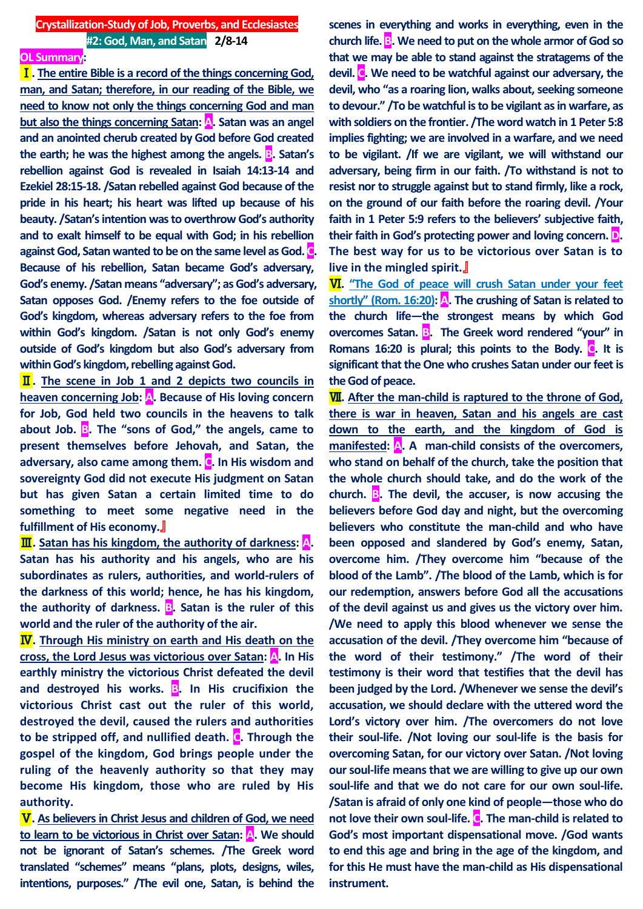#### **OL Summary:**

Ⅰ**. The entire Bible is a record of the things concerning God, man, and Satan; therefore, in our reading of the Bible, we need to know not only the things concerning God and man but also the things concerning Satan: A. Satan was an angel and an anointed cherub created by God before God created the earth; he was the highest among the angels. B. Satan's rebellion against God is revealed in Isaiah 14:13-14 and Ezekiel 28:15-18. /Satan rebelled against God because of the pride in his heart; his heart was lifted up because of his beauty. /Satan's intention was to overthrow God's authority and to exalt himself to be equal with God; in his rebellion against God, Satan wanted to be on the same level as God. C. Because of his rebellion, Satan became God's adversary, God's enemy. /Satan means "adversary"; as God's adversary, Satan opposes God. /Enemy refers to the foe outside of God's kingdom, whereas adversary refers to the foe from within God's kingdom. /Satan is not only God's enemy outside of God's kingdom but also God's adversary from within God's kingdom, rebelling against God.** 

Ⅱ**. The scene in Job 1 and 2 depicts two councils in heaven concerning Job: A. Because of His loving concern for Job, God held two councils in the heavens to talk about Job. B. The "sons of God," the angels, came to present themselves before Jehovah, and Satan, the adversary, also came among them. C. In His wisdom and sovereignty God did not execute His judgment on Satan but has given Satan a certain limited time to do something to meet some negative need in the fulfillment of His economy.**』

**III**. Satan has his kingdom, the authority of darkness: A. **Satan has his authority and his angels, who are his subordinates as rulers, authorities, and world-rulers of the darkness of this world; hence, he has his kingdom, the authority of darkness. B. Satan is the ruler of this world and the ruler of the authority of the air.**

Ⅳ**. Through His ministry on earth and His death on the cross, the Lord Jesus was victorious over Satan: A. In His earthly ministry the victorious Christ defeated the devil and destroyed his works. B. In His crucifixion the victorious Christ cast out the ruler of this world, destroyed the devil, caused the rulers and authorities to be stripped off, and nullified death. C. Through the gospel of the kingdom, God brings people under the ruling of the heavenly authority so that they may become His kingdom, those who are ruled by His authority.**

Ⅴ**. As believers in Christ Jesus and children of God, we need to learn to be victorious in Christ over Satan: A. We should not be ignorant of Satan's schemes. /The Greek word translated "schemes" means "plans, plots, designs, wiles, intentions, purposes." /The evil one, Satan, is behind the** 

**scenes in everything and works in everything, even in the church life. B. We need to put on the whole armor of God so that we may be able to stand against the stratagems of the devil. C. We need to be watchful against our adversary, the devil, who "as a roaring lion, walks about, seeking someone to devour." /To be watchful is to be vigilant as in warfare, as with soldiers on the frontier. /The word watch in 1 Peter 5:8 implies fighting; we are involved in a warfare, and we need to be vigilant. /If we are vigilant, we will withstand our adversary, being firm in our faith. /To withstand is not to resist nor to struggle against but to stand firmly, like a rock, on the ground of our faith before the roaring devil. /Your faith in 1 Peter 5:9 refers to the believers' subjective faith, their faith in God's protecting power and loving concern. D. The best way for us to be victorious over Satan is to live in the mingled spirit.**』

Ⅵ**. "The God of peace will crush Satan under your feet shortly" (Rom. 16:20): A. The crushing of Satan is related to the church life—the strongest means by which God overcomes Satan. B. The Greek word rendered "your" in Romans 16:20 is plural; this points to the Body. C. It is significant that the One who crushes Satan under our feet is the God of peace.**

Ⅶ**. After the man-child is raptured to the throne of God, there is war in heaven, Satan and his angels are cast down to the earth, and the kingdom of God is manifested: A. A man-child consists of the overcomers, who stand on behalf of the church, take the position that the whole church should take, and do the work of the church. B. The devil, the accuser, is now accusing the believers before God day and night, but the overcoming believers who constitute the man-child and who have been opposed and slandered by God's enemy, Satan, overcome him. /They overcome him "because of the blood of the Lamb". /The blood of the Lamb, which is for our redemption, answers before God all the accusations of the devil against us and gives us the victory over him. /We need to apply this blood whenever we sense the accusation of the devil. /They overcome him "because of the word of their testimony." /The word of their testimony is their word that testifies that the devil has been judged by the Lord. /Whenever we sense the devil's accusation, we should declare with the uttered word the Lord's victory over him. /The overcomers do not love their soul-life. /Not loving our soul-life is the basis for overcoming Satan, for our victory over Satan. /Not loving our soul-life means that we are willing to give up our own soul-life and that we do not care for our own soul-life. /Satan is afraid of only one kind of people—those who do not love their own soul-life. C. The man-child is related to God's most important dispensational move. /God wants to end this age and bring in the age of the kingdom, and for this He must have the man-child as His dispensational instrument.**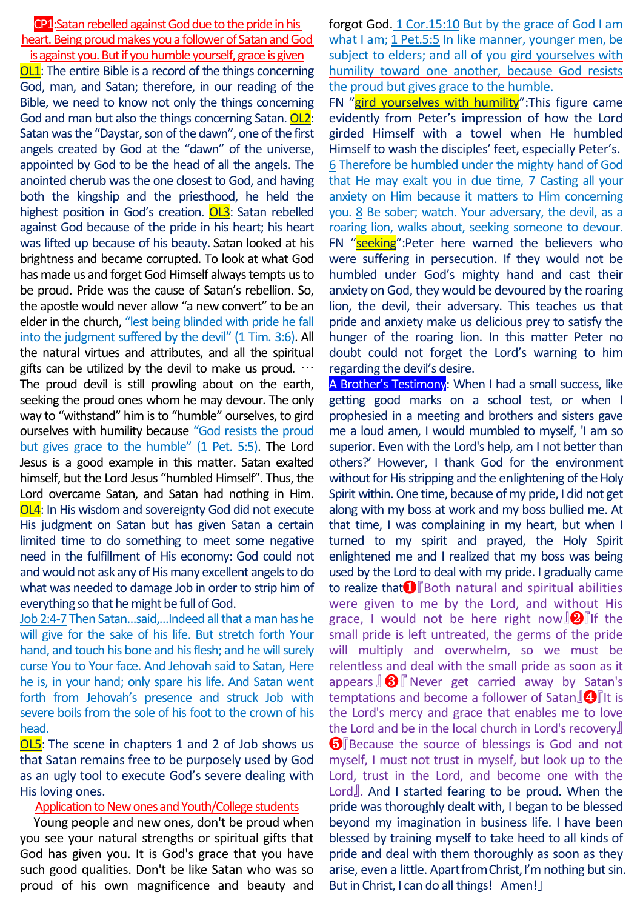CP1: Satan rebelled against God due to the pride in his heart. Being proud makes you a follower of Satan and God is against you. But if you humble yourself, grace is given

OL1: The entire Bible is a record of the things concerning God, man, and Satan; therefore, in our reading of the Bible, we need to know not only the things concerning God and man but also the things concerning Satan. OL2: Satan was the "Daystar, son of the dawn", one of the first angels created by God at the "dawn" of the universe, appointed by God to be the head of all the angels. The anointed cherub was the one closest to God, and having both the kingship and the priesthood, he held the highest position in God's creation. OL3: Satan rebelled against God because of the pride in his heart; his heart was lifted up because of his beauty. Satan looked at his brightness and became corrupted. To look at what God has made us and forget God Himself always tempts us to be proud. Pride was the cause of Satan's rebellion. So, the apostle would never allow "a new convert" to be an elder in the church, "lest being blinded with pride he fall into the judgment suffered by the devil" (1 Tim. 3:6). All the natural virtues and attributes, and all the spiritual gifts can be utilized by the devil to make us proud.  $\cdots$ The proud devil is still prowling about on the earth, seeking the proud ones whom he may devour. The only way to "withstand" him is to "humble" ourselves, to gird ourselves with humility because "God resists the proud but gives grace to the humble" (1 Pet. 5:5). The Lord Jesus is a good example in this matter. Satan exalted himself, but the Lord Jesus "humbled Himself". Thus, the Lord overcame Satan, and Satan had nothing in Him. OL4: In His wisdom and sovereignty God did not execute His judgment on Satan but has given Satan a certain limited time to do something to meet some negative need in the fulfillment of His economy: God could not and would not ask any of His many excellent angels to do what was needed to damage Job in order to strip him of everything so that he might be full of God.

Job 2:4-7 Then Satan…said,…Indeed all that a man has he will give for the sake of his life. But stretch forth Your hand, and touch his bone and his flesh; and he will surely curse You to Your face. And Jehovah said to Satan, Here he is, in your hand; only spare his life. And Satan went forth from Jehovah's presence and struck Job with severe boils from the sole of his foot to the crown of his head.

OL5: The scene in chapters 1 and 2 of Job shows us that Satan remains free to be purposely used by God as an ugly tool to execute God's severe dealing with His loving ones.

### Application to New ones and Youth/College students

Young people and new ones, don't be proud when you see your natural strengths or spiritual gifts that God has given you. It is God's grace that you have such good qualities. Don't be like Satan who was so proud of his own magnificence and beauty and forgot God. 1 Cor.15:10 But by the grace of God I am what I am; 1 Pet.5:5 In like manner, younger men, be subject to elders; and all of you gird yourselves with humility toward one another, because God resists the proud but gives grace to the humble.

FN "gird yourselves with humility": This figure came evidently from Peter's impression of how the Lord girded Himself with a towel when He humbled Himself to wash the disciples' feet, especially Peter's. 6 Therefore be humbled under the mighty hand of God that He may exalt you in due time, 7 Casting all your anxiety on Him because it matters to Him concerning you. 8 Be sober; watch. Your adversary, the devil, as a roaring lion, walks about, seeking someone to devour. FN "seeking":Peter here warned the believers who were suffering in persecution. If they would not be humbled under God's mighty hand and cast their anxiety on God, they would be devoured by the roaring lion, the devil, their adversary. This teaches us that pride and anxiety make us delicious prey to satisfy the hunger of the roaring lion. In this matter Peter no doubt could not forget the Lord's warning to him regarding the devil's desire.

A Brother's Testimony: When I had a small success, like getting good marks on a school test, or when I prophesied in a meeting and brothers and sisters gave me a loud amen, I would mumbled to myself, 'I am so superior. Even with the Lord's help, am I not better than others?' However, I thank God for the environment without for His stripping and the enlightening of the Holy Spirit within. One time, because of my pride, I did not get along with my boss at work and my boss bullied me. At that time, I was complaining in my heart, but when I turned to my spirit and prayed, the Holy Spirit enlightened me and I realized that my boss was being used by the Lord to deal with my pride. I gradually came to realize that❶『Both natural and spiritual abilities were given to me by the Lord, and without His grace, I would not be here right now $\mathbf{Q}$  if the small pride is left untreated, the germs of the pride will multiply and overwhelm, so we must be relentless and deal with the small pride as soon as it appears  $\mathbf{S}$   $\mathbf{\Theta}$  Never get carried away by Satan's temptations and become a follower of Satan $\Box$  It is the Lord's mercy and grace that enables me to love the Lord and be in the local church in Lord's recovery』 **O** Because the source of blessings is God and not myself, I must not trust in myself, but look up to the Lord, trust in the Lord, and become one with the Lord』. And I started fearing to be proud. When the pride was thoroughly dealt with, I began to be blessed beyond my imagination in business life. I have been blessed by training myself to take heed to all kinds of pride and deal with them thoroughly as soon as they arise, even a little. Apart from Christ, I'm nothing but sin. But in Christ, I can do all things! Amen!」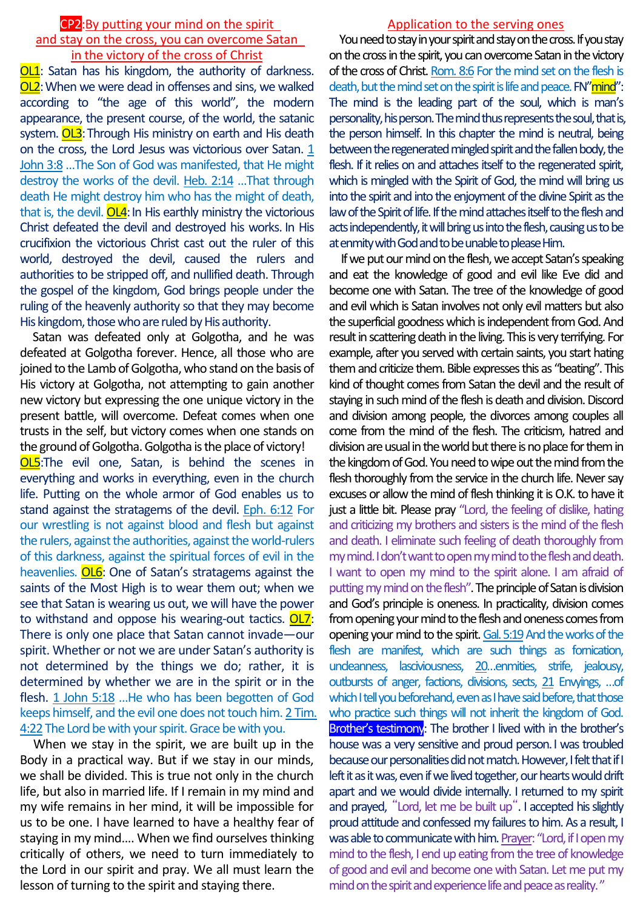## CP2:By putting your mind on the spirit and stay on the cross, you can overcome Satan in the victory of the cross of Christ

**OL1**: Satan has his kingdom, the authority of darkness. OL2:When we were dead in offenses and sins, we walked according to "the age of this world", the modern appearance, the present course, of the world, the satanic system. OL3: Through His ministry on earth and His death on the cross, the Lord Jesus was victorious over Satan. 1 John 3:8 …The Son of God was manifested, that He might destroy the works of the devil. Heb. 2:14 …That through death He might destroy him who has the might of death, that is, the devil. OL4: In His earthly ministry the victorious Christ defeated the devil and destroyed his works. In His crucifixion the victorious Christ cast out the ruler of this world, destroyed the devil, caused the rulers and authorities to be stripped off, and nullified death. Through the gospel of the kingdom, God brings people under the ruling of the heavenly authority so that they may become His kingdom, those who are ruled by His authority.

Satan was defeated only at Golgotha, and he was defeated at Golgotha forever. Hence, all those who are joined to the Lamb of Golgotha, who stand on the basis of His victory at Golgotha, not attempting to gain another new victory but expressing the one unique victory in the present battle, will overcome. Defeat comes when one trusts in the self, but victory comes when one stands on the ground of Golgotha. Golgotha is the place of victory! OL5:The evil one, Satan, is behind the scenes in everything and works in everything, even in the church life. Putting on the whole armor of God enables us to stand against the stratagems of the devil. Eph. 6:12 For our wrestling is not against blood and flesh but against the rulers, against the authorities, against the world-rulers of this darkness, against the spiritual forces of evil in the heavenlies. OL6: One of Satan's stratagems against the saints of the Most High is to wear them out; when we see that Satan is wearing us out, we will have the power to withstand and oppose his wearing-out tactics. OL7: There is only one place that Satan cannot invade—our spirit. Whether or not we are under Satan's authority is not determined by the things we do; rather, it is determined by whether we are in the spirit or in the flesh. 1 John 5:18 …He who has been begotten of God keeps himself, and the evil one does not touch him. 2 Tim. 4:22 The Lord be with your spirit. Grace be with you.

When we stay in the spirit, we are built up in the Body in a practical way. But if we stay in our minds, we shall be divided. This is true not only in the church life, but also in married life. If I remain in my mind and my wife remains in her mind, it will be impossible for us to be one. I have learned to have a healthy fear of staying in my mind…. When we find ourselves thinking critically of others, we need to turn immediately to the Lord in our spirit and pray. We all must learn the lesson of turning to the spirit and staying there.

# Application to the serving ones

You need to stay in your spirit and stay on the cross. If you stay on the cross in the spirit, you can overcome Satan in the victory of the cross of Christ. Rom. 8:6 For the mind set on the flesh is death, but the mind set on the spirit is life and peace. FN"mind": The mind is the leading part of the soul, which is man's personality, his person. The mind thus represents the soul, that is, the person himself. In this chapter the mind is neutral, being between the regenerated mingled spirit and the fallen body, the flesh. If it relies on and attaches itself to the regenerated spirit, which is mingled with the Spirit of God, the mind will bring us into the spirit and into the enjoyment of the divine Spirit as the law of the Spirit of life. If the mind attaches itself to the flesh and acts independently, it will bring us into the flesh, causing us to be at enmity with God and to be unable to please Him.

If we put our mind on the flesh, we accept Satan's speaking and eat the knowledge of good and evil like Eve did and become one with Satan. The tree of the knowledge of good and evil which is Satan involves not only evil matters but also the superficial goodness which is independent from God. And result in scattering death in the living. This is very terrifying. For example, after you served with certain saints, you start hating them and criticize them. Bible expresses this as "beating". This kind of thought comes from Satan the devil and the result of staying in such mind of the flesh is death and division. Discord and division among people, the divorces among couples all come from the mind of the flesh. The criticism, hatred and division are usual in the world but there is no place for them in the kingdom of God. You need to wipe out the mind from the flesh thoroughly from the service in the church life. Never say excuses or allow the mind of flesh thinking it is O.K. to have it just a little bit. Please pray "Lord, the feeling of dislike, hating and criticizing my brothers and sisters is the mind of the flesh and death. I eliminate such feeling of death thoroughly from my mind. I don't want to open my mind to the flesh and death. I want to open my mind to the spirit alone. I am afraid of putting my mind on the flesh". The principle of Satan is division and God's principle is oneness. In practicality, division comes from opening your mind to the flesh and oneness comes from opening your mind to the spirit. Gal. 5:19And the works of the flesh are manifest, which are such things as fornication, uncleanness, lasciviousness, 20…enmities, strife, jealousy, outbursts of anger, factions, divisions, sects, 21 Envyings, …of which I tell you beforehand, even as I have said before, that those who practice such things will not inherit the kingdom of God. Brother's testimony: The brother I lived with in the brother's house was a very sensitive and proud person.I was troubled because our personalities did not match. However, I felt that if I left it as it was, even if we lived together, our hearts would drift apart and we would divide internally. I returned to my spirit and prayed, "Lord, let me be built up". I accepted his slightly proud attitude and confessed my failures to him. As a result, I was able to communicate with him. Prayer: "Lord, if I open my mind to the flesh, I end up eating from the tree of knowledge of good and evil and become one with Satan. Let me put my mind on the spirit and experience life and peace as reality. "